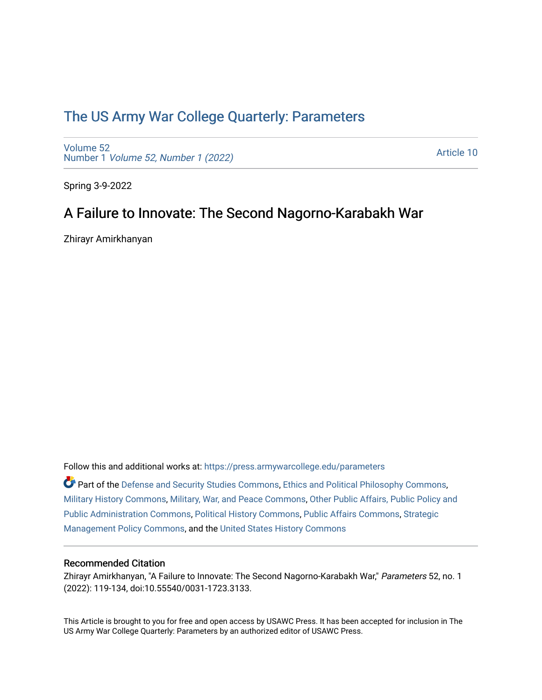# [The US Army War College Quarterly: Parameters](https://press.armywarcollege.edu/parameters)

[Volume 52](https://press.armywarcollege.edu/parameters/vol52) Number 1 [Volume 52, Number 1 \(2022\)](https://press.armywarcollege.edu/parameters/vol52/iss1)

[Article 10](https://press.armywarcollege.edu/parameters/vol52/iss1/10) 

Spring 3-9-2022

# A Failure to Innovate: The Second Nagorno-Karabakh War

Zhirayr Amirkhanyan

Follow this and additional works at: [https://press.armywarcollege.edu/parameters](https://press.armywarcollege.edu/parameters?utm_source=press.armywarcollege.edu%2Fparameters%2Fvol52%2Fiss1%2F10&utm_medium=PDF&utm_campaign=PDFCoverPages) 

Part of the [Defense and Security Studies Commons](https://network.bepress.com/hgg/discipline/394?utm_source=press.armywarcollege.edu%2Fparameters%2Fvol52%2Fiss1%2F10&utm_medium=PDF&utm_campaign=PDFCoverPages), [Ethics and Political Philosophy Commons](https://network.bepress.com/hgg/discipline/529?utm_source=press.armywarcollege.edu%2Fparameters%2Fvol52%2Fiss1%2F10&utm_medium=PDF&utm_campaign=PDFCoverPages), [Military History Commons,](https://network.bepress.com/hgg/discipline/504?utm_source=press.armywarcollege.edu%2Fparameters%2Fvol52%2Fiss1%2F10&utm_medium=PDF&utm_campaign=PDFCoverPages) [Military, War, and Peace Commons,](https://network.bepress.com/hgg/discipline/861?utm_source=press.armywarcollege.edu%2Fparameters%2Fvol52%2Fiss1%2F10&utm_medium=PDF&utm_campaign=PDFCoverPages) [Other Public Affairs, Public Policy and](https://network.bepress.com/hgg/discipline/403?utm_source=press.armywarcollege.edu%2Fparameters%2Fvol52%2Fiss1%2F10&utm_medium=PDF&utm_campaign=PDFCoverPages)  [Public Administration Commons,](https://network.bepress.com/hgg/discipline/403?utm_source=press.armywarcollege.edu%2Fparameters%2Fvol52%2Fiss1%2F10&utm_medium=PDF&utm_campaign=PDFCoverPages) [Political History Commons,](https://network.bepress.com/hgg/discipline/505?utm_source=press.armywarcollege.edu%2Fparameters%2Fvol52%2Fiss1%2F10&utm_medium=PDF&utm_campaign=PDFCoverPages) [Public Affairs Commons,](https://network.bepress.com/hgg/discipline/399?utm_source=press.armywarcollege.edu%2Fparameters%2Fvol52%2Fiss1%2F10&utm_medium=PDF&utm_campaign=PDFCoverPages) [Strategic](https://network.bepress.com/hgg/discipline/642?utm_source=press.armywarcollege.edu%2Fparameters%2Fvol52%2Fiss1%2F10&utm_medium=PDF&utm_campaign=PDFCoverPages)  [Management Policy Commons,](https://network.bepress.com/hgg/discipline/642?utm_source=press.armywarcollege.edu%2Fparameters%2Fvol52%2Fiss1%2F10&utm_medium=PDF&utm_campaign=PDFCoverPages) and the [United States History Commons](https://network.bepress.com/hgg/discipline/495?utm_source=press.armywarcollege.edu%2Fparameters%2Fvol52%2Fiss1%2F10&utm_medium=PDF&utm_campaign=PDFCoverPages)

## Recommended Citation

Zhirayr Amirkhanyan, "A Failure to Innovate: The Second Nagorno-Karabakh War," Parameters 52, no. 1 (2022): 119-134, doi:10.55540/0031-1723.3133.

This Article is brought to you for free and open access by USAWC Press. It has been accepted for inclusion in The US Army War College Quarterly: Parameters by an authorized editor of USAWC Press.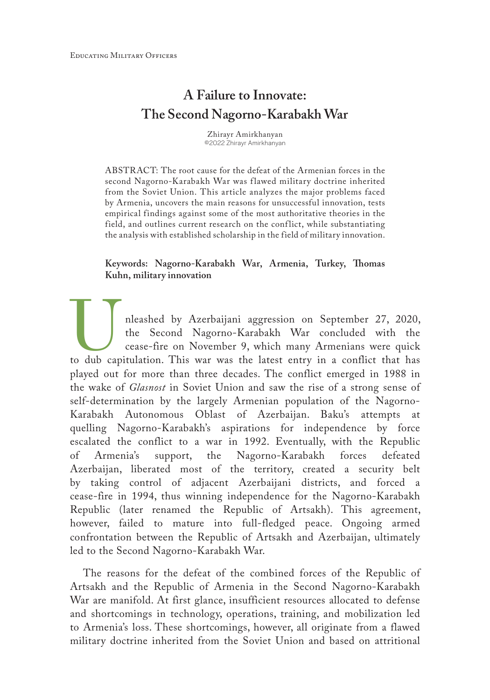# **A Failure to Innovate: The Second Nagorno-Karabakh War**

Zhirayr Amirkhanyan ©2022 Zhirayr Amirkhanyan

ABSTRACT: The root cause for the defeat of the Armenian forces in the second Nagorno-Karabakh War was flawed military doctrine inherited from the Soviet Union. This article analyzes the major problems faced by Armenia, uncovers the main reasons for unsuccessful innovation, tests empirical findings against some of the most authoritative theories in the field, and outlines current research on the conflict, while substantiating the analysis with established scholarship in the field of military innovation.

### **Keywords: Nagorno-Karabakh War, Armenia, Turkey, Thomas Kuhn, military innovation**

nleashed by Azerbaijani aggression on September 27, 2020, the Second Nagorno-Karabakh War concluded with the cease-fire on November 9, which many Armenians were quick to dub capitulation. This war was the latest entry in a conflict that has played out for more than three decades. The conflict emerged in 1988 in the wake of *Glasnost* in Soviet Union and saw the rise of a strong sense of self-determination by the largely Armenian population of the Nagorno-Karabakh Autonomous Oblast of Azerbaijan. Baku's attempts at quelling Nagorno-Karabakh's aspirations for independence by force escalated the conflict to a war in 1992. Eventually, with the Republic of Armenia's support, the Nagorno-Karabakh forces defeated Azerbaijan, liberated most of the territory, created a security belt by taking control of adjacent Azerbaijani districts, and forced a cease-fire in 1994, thus winning independence for the Nagorno-Karabakh Republic (later renamed the Republic of Artsakh). This agreement, however, failed to mature into full-fledged peace. Ongoing armed confrontation between the Republic of Artsakh and Azerbaijan, ultimately led to the Second Nagorno-Karabakh War.

The reasons for the defeat of the combined forces of the Republic of Artsakh and the Republic of Armenia in the Second Nagorno-Karabakh War are manifold. At first glance, insufficient resources allocated to defense and shortcomings in technology, operations, training, and mobilization led to Armenia's loss. These shortcomings, however, all originate from a flawed military doctrine inherited from the Soviet Union and based on attritional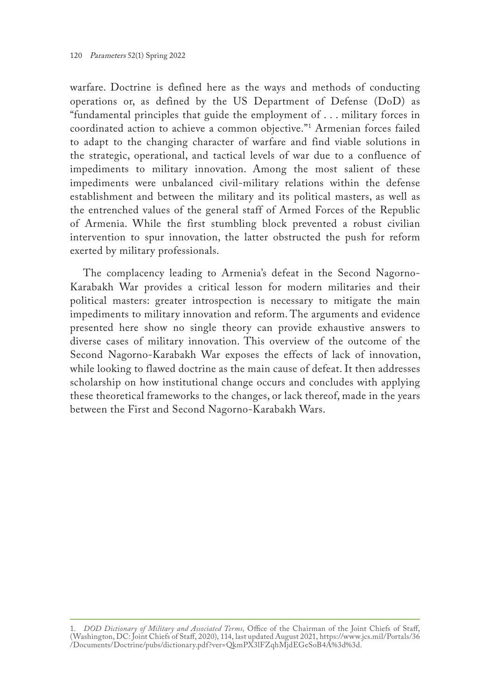warfare. Doctrine is defined here as the ways and methods of conducting operations or, as defined by the US Department of Defense (DoD) as "fundamental principles that guide the employment of . . . military forces in coordinated action to achieve a common objective."1 Armenian forces failed to adapt to the changing character of warfare and find viable solutions in the strategic, operational, and tactical levels of war due to a confluence of impediments to military innovation. Among the most salient of these impediments were unbalanced civil-military relations within the defense establishment and between the military and its political masters, as well as the entrenched values of the general staff of Armed Forces of the Republic of Armenia. While the first stumbling block prevented a robust civilian intervention to spur innovation, the latter obstructed the push for reform exerted by military professionals.

The complacency leading to Armenia's defeat in the Second Nagorno-Karabakh War provides a critical lesson for modern militaries and their political masters: greater introspection is necessary to mitigate the main impediments to military innovation and reform. The arguments and evidence presented here show no single theory can provide exhaustive answers to diverse cases of military innovation. This overview of the outcome of the Second Nagorno-Karabakh War exposes the effects of lack of innovation, while looking to flawed doctrine as the main cause of defeat. It then addresses scholarship on how institutional change occurs and concludes with applying these theoretical frameworks to the changes, or lack thereof, made in the years between the First and Second Nagorno-Karabakh Wars.

<sup>1.</sup> *DOD Dictionary of Military and Associated Terms,* Office of the Chairman of the Joint Chiefs of Staff, (Washington, DC: Joint Chiefs of Staff, 2020), 114, last updated August 2021, [https://www.jcs.mil/Portals/36](https://www.jcs.mil/Portals/36/Documents/Doctrine/pubs/dictionary.pdf?ver=QkmPX3lFZqhMjdEGeSoB4A%3d%3d) [/Documents/Doctrine/pubs/dictionary.pdf?ver=QkmPX3lFZqhMjdEGeSoB4A%3d%3d](https://www.jcs.mil/Portals/36/Documents/Doctrine/pubs/dictionary.pdf?ver=QkmPX3lFZqhMjdEGeSoB4A%3d%3d).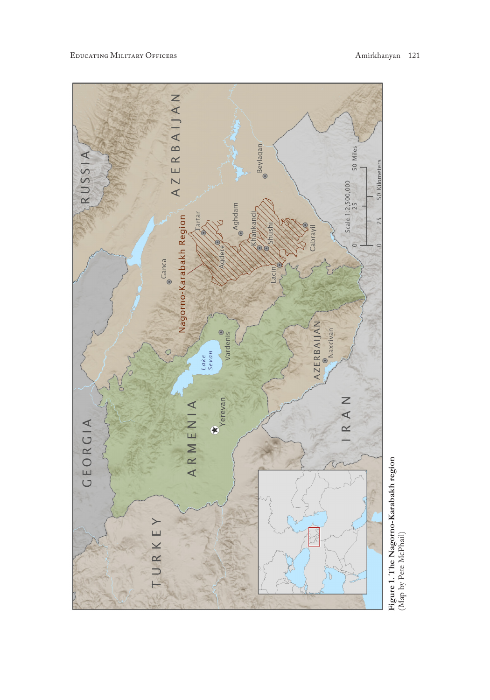Educating Military Officers Amirkhanyan 121



Figure 1. The Nagorno-Karabakh region<br>(Map by Pete McPhail) **Figure 1. The Nagorno-Karabakh region** (Map by Pete McPhail)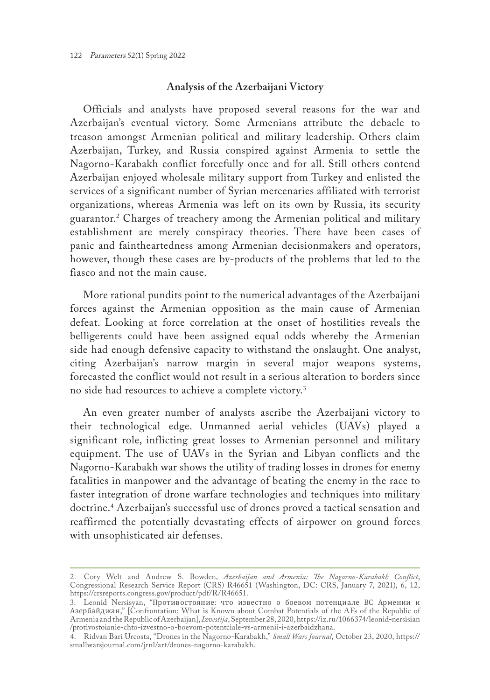#### **Analysis of the Azerbaijani Victory**

Officials and analysts have proposed several reasons for the war and Azerbaijan's eventual victory. Some Armenians attribute the debacle to treason amongst Armenian political and military leadership. Others claim Azerbaijan, Turkey, and Russia conspired against Armenia to settle the Nagorno-Karabakh conflict forcefully once and for all. Still others contend Azerbaijan enjoyed wholesale military support from Turkey and enlisted the services of a significant number of Syrian mercenaries affiliated with terrorist organizations, whereas Armenia was left on its own by Russia, its security guarantor.2 Charges of treachery among the Armenian political and military establishment are merely conspiracy theories. There have been cases of panic and faintheartedness among Armenian decisionmakers and operators, however, though these cases are by-products of the problems that led to the fiasco and not the main cause.

More rational pundits point to the numerical advantages of the Azerbaijani forces against the Armenian opposition as the main cause of Armenian defeat. Looking at force correlation at the onset of hostilities reveals the belligerents could have been assigned equal odds whereby the Armenian side had enough defensive capacity to withstand the onslaught. One analyst, citing Azerbaijan's narrow margin in several major weapons systems, forecasted the conflict would not result in a serious alteration to borders since no side had resources to achieve a complete victory.3

An even greater number of analysts ascribe the Azerbaijani victory to their technological edge. Unmanned aerial vehicles (UAVs) played a significant role, inflicting great losses to Armenian personnel and military equipment. The use of UAVs in the Syrian and Libyan conflicts and the Nagorno-Karabakh war shows the utility of trading losses in drones for enemy fatalities in manpower and the advantage of beating the enemy in the race to faster integration of drone warfare technologies and techniques into military doctrine.4 Azerbaijan's successful use of drones proved a tactical sensation and reaffirmed the potentially devastating effects of airpower on ground forces with unsophisticated air defenses.

<sup>2.</sup> Cory Welt and Andrew S. Bowden*, Azerbaijan and Armenia: The Nagorno-Karabakh Conflict*, Congressional Research Service Report (CRS) R46651 (Washington, DC: CRS, January 7, 2021), 6, 12, <https://crsreports.congress.gov/product/pdf/R/R46651>.

<sup>3.</sup> Leonid Nersisyan, "Противостояние: что известно о боевом потенциале ВС Армении и Азербайджан," [Confrontation: What is Known about Combat Potentials of the AFs of the Republic of Armenia and the Republic of Azerbaijan], *Izvestija*, September 28, 2020, [https://iz.ru/1066374/leonid-nersisian](https://iz.ru/1066374/leonid-nersisian/protivostoianie-chto-izvestno-o-boevom-potentciale-vs-armenii-i-azerbaidzhana) [/protivostoianie-chto-izvestno-o-boevom-potentciale-vs-armenii-i-azerbaidzhana.](https://iz.ru/1066374/leonid-nersisian/protivostoianie-chto-izvestno-o-boevom-potentciale-vs-armenii-i-azerbaidzhana)

<sup>4.</sup> Ridvan Bari Urcosta, "Drones in the Nagorno-Karabakh," *Small Wars Journal*, October 23, 2020, [https://](https://smallwarsjournal.com/jrnl/art/drones-nagorno-karabakh) [smallwarsjournal.com/jrnl/art/drones-nagorno-karabakh.](https://smallwarsjournal.com/jrnl/art/drones-nagorno-karabakh)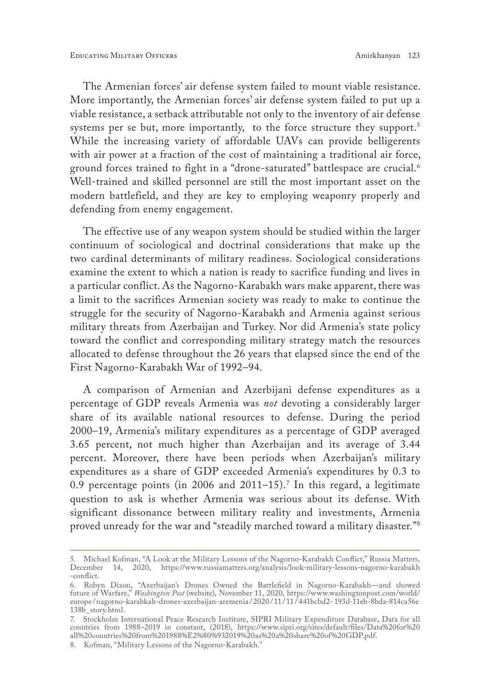The Armenian forces' air defense system failed to mount viable resistance. More importantly, the Armenian forces' air defense system failed to put up a viable resistance, a setback attributable not only to the inventory of air defense systems per se but, more importantly, to the force structure they support.<sup>5</sup> While the increasing variety of affordable UAVs can provide belligerents with air power at a fraction of the cost of maintaining a traditional air force, ground forces trained to fight in a "drone-saturated" battlespace are crucial.<sup>6</sup> Well-trained and skilled personnel are still the most important asset on the modern battlefield, and they are key to employing weaponry properly and defending from enemy engagement.

The effective use of any weapon system should be studied within the larger continuum of sociological and doctrinal considerations that make up the two cardinal determinants of military readiness. Sociological considerations examine the extent to which a nation is ready to sacrifice funding and lives in a particular conflict. As the Nagorno-Karabakh wars make apparent, there was a limit to the sacrifices Armenian society was ready to make to continue the struggle for the security of Nagorno-Karabakh and Armenia against serious military threats from Azerbaijan and Turkey. Nor did Armenia's state policy toward the conflict and corresponding military strategy match the resources allocated to defense throughout the 26 years that elapsed since the end of the First Nagorno-Karabakh War of 1992–94.

A comparison of Armenian and Azerbijani defense expenditures as a percentage of GDP reveals Armenia was *not* devoting a considerably larger share of its available national resources to defense. During the period 2000–19, Armenia's military expenditures as a percentage of GDP averaged 3.65 percent, not much higher than Azerbaijan and its average of 3.44 percent. Moreover, there have been periods when Azerbaijan's military expenditures as a share of GDP exceeded Armenia's expenditures by 0.3 to  $0.9$  percentage points (in 2006 and 2011–15). $\frac{7}{1}$  In this regard, a legitimate question to ask is whether Armenia was serious about its defense. With significant dissonance between military reality and investments, Armenia proved unready for the war and "steadily marched toward a military disaster."8

<sup>5.</sup> Michael Kofman, "A Look at the Military Lessons of the Nagorno-Karabakh Conflict," Russia Matters, December 14, 2020, [https://www.russiamatters.org/analysis/look-military-lessons-nagorno-karabakh](https://www.russiamatters.org/analysis/look-military-lessons-nagorno-karabakh-conflict) [-conflict](https://www.russiamatters.org/analysis/look-military-lessons-nagorno-karabakh-conflict).

<sup>6.</sup> Robyn Dixon, "Azerbaijan's Drones Owned the Battlefield in Nagorno-Karabakh—and showed future of Warfare," *Washington Post* (website), November 11, 2020, https://www.washingtonpost.com/world/ europe /nagorno-karabkah-drones-azerbaijan-aremenia / 2020/ 11/ 11/ 441bcbd2-193d-11eb-8bda-814ca56e 138b\_story.html.

<sup>7.</sup> Stockholm International Peace Research Institute, SIPRI Military Expenditure Database, Data for all countries from 1988–2019 in constant, (2018), https://www.sipri.org/sites/default/files/Data%20for%20 all%20countries%20from%201988%E2%80%932019%20as%20a%20share%20of%20GDP.pdf.

<sup>8.</sup> Kofman, "Military Lessons of the Nagorno-Karabakh."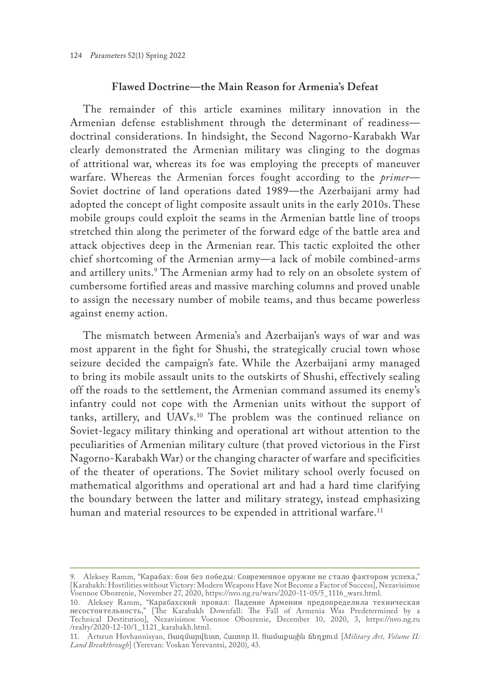### **Flawed Doctrine—the Main Reason for Armenia's Defeat**

The remainder of this article examines military innovation in the Armenian defense establishment through the determinant of readiness doctrinal considerations. In hindsight, the Second Nagorno-Karabakh War clearly demonstrated the Armenian military was clinging to the dogmas of attritional war, whereas its foe was employing the precepts of maneuver warfare. Whereas the Armenian forces fought according to the *primer*— Soviet doctrine of land operations dated 1989—the Azerbaijani army had adopted the concept of light composite assault units in the early 2010s. These mobile groups could exploit the seams in the Armenian battle line of troops stretched thin along the perimeter of the forward edge of the battle area and attack objectives deep in the Armenian rear. This tactic exploited the other chief shortcoming of the Armenian army—a lack of mobile combined-arms and artillery units.<sup>9</sup> The Armenian army had to rely on an obsolete system of cumbersome fortified areas and massive marching columns and proved unable to assign the necessary number of mobile teams, and thus became powerless against enemy action.

The mismatch between Armenia's and Azerbaijan's ways of war and was most apparent in the fight for Shushi, the strategically crucial town whose seizure decided the campaign's fate. While the Azerbaijani army managed to bring its mobile assault units to the outskirts of Shushi, effectively sealing off the roads to the settlement, the Armenian command assumed its enemy's infantry could not cope with the Armenian units without the support of tanks, artillery, and UAVs.10 The problem was the continued reliance on Soviet-legacy military thinking and operational art without attention to the peculiarities of Armenian military culture (that proved victorious in the First Nagorno-Karabakh War) or the changing character of warfare and specificities of the theater of operations. The Soviet military school overly focused on mathematical algorithms and operational art and had a hard time clarifying the boundary between the latter and military strategy, instead emphasizing human and material resources to be expended in attritional warfare.<sup>11</sup>

<sup>9.</sup> Aleksey Ramm, "Карабах: бои без победы: Современное оружие не стало фактором успеха," [Karabakh: Hostilities without Victory: Modern Weapons Have Not Become a Factor of Success], Nezavisimoe Voennoe Obozrenie, November 27, 2020, [https://nvo.ng.ru/wars/2020-11-05/5\\_1116\\_wars.html.](https://nvo.ng.ru/wars/2020-11-05/5_1116_wars.html)

<sup>10.</sup> Aleksey Ramm, "Карабахский провал: Падение Армении предопределила техническая несостоятельность," [The Karabakh Downfall: The Fall of Armenia Was Predetermined by a Technical Destitution], Nezavisimoe Voennoe Obozrenie, December 10, 2020, 3, [https://nvo.ng.ru](https://nvo.ng.ru/realty/2020-12-10/1_1121_karabakh.html) [/realty/2020-12-10/1\\_1121\\_karabakh.html](https://nvo.ng.ru/realty/2020-12-10/1_1121_karabakh.html).

<sup>11.</sup> Artsrun Hovhannisyan*,* Ռազմարվեստ, Հատոր II․ Ցամաքային ճեղքում [*Military Art, Volume II: Land Breakthrough*] (Yerevan: Voskan Yerevantsi, 2020), 43.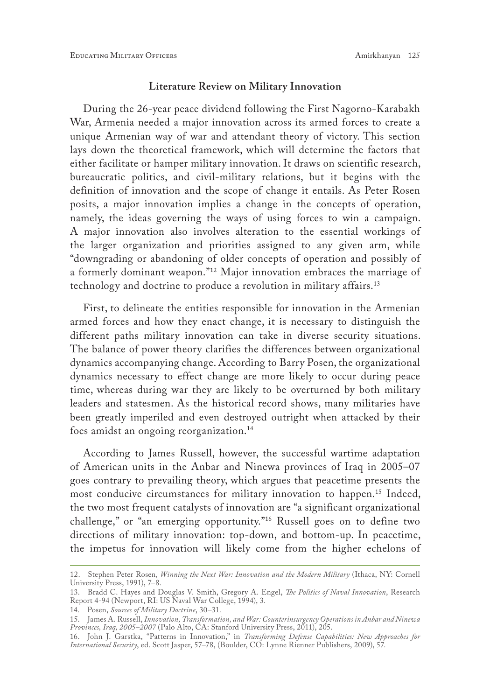#### **Literature Review on Military Innovation**

During the 26-year peace dividend following the First Nagorno-Karabakh War, Armenia needed a major innovation across its armed forces to create a unique Armenian way of war and attendant theory of victory. This section lays down the theoretical framework, which will determine the factors that either facilitate or hamper military innovation. It draws on scientific research, bureaucratic politics, and civil-military relations, but it begins with the definition of innovation and the scope of change it entails. As Peter Rosen posits, a major innovation implies a change in the concepts of operation, namely, the ideas governing the ways of using forces to win a campaign. A major innovation also involves alteration to the essential workings of the larger organization and priorities assigned to any given arm, while "downgrading or abandoning of older concepts of operation and possibly of a formerly dominant weapon."12 Major innovation embraces the marriage of technology and doctrine to produce a revolution in military affairs.13

First, to delineate the entities responsible for innovation in the Armenian armed forces and how they enact change, it is necessary to distinguish the different paths military innovation can take in diverse security situations. The balance of power theory clarifies the differences between organizational dynamics accompanying change. According to Barry Posen, the organizational dynamics necessary to effect change are more likely to occur during peace time, whereas during war they are likely to be overturned by both military leaders and statesmen. As the historical record shows, many militaries have been greatly imperiled and even destroyed outright when attacked by their foes amidst an ongoing reorganization.<sup>14</sup>

According to James Russell, however, the successful wartime adaptation of American units in the Anbar and Ninewa provinces of Iraq in 2005–07 goes contrary to prevailing theory, which argues that peacetime presents the most conducive circumstances for military innovation to happen.<sup>15</sup> Indeed, the two most frequent catalysts of innovation are "a significant organizational challenge," or "an emerging opportunity."16 Russell goes on to define two directions of military innovation: top-down, and bottom-up. In peacetime, the impetus for innovation will likely come from the higher echelons of

<sup>12.</sup> Stephen Peter Rosen*, Winning the Next War: Innovation and the Modern Military* (Ithaca, NY: Cornell University Press, 1991), 7–8.

<sup>13.</sup> Bradd C. Hayes and Douglas V. Smith, Gregory A. Engel, *The Politics of Naval Innovation*, Research Report 4-94 (Newport, RI: US Naval War College, 1994), 3.

<sup>14.</sup> Posen, *Sources of Military Doctrine*, 30–31.

<sup>15.</sup> James A. Russell, *Innovation, Transformation, and War: Counterinsurgency Operations in Anbar and Ninewa Provinces, Iraq, 2005–2007* (Palo Alto, CA: Stanford University Press, 2011), 205.

<sup>16.</sup> John J. Garstka, "Patterns in Innovation," in *Transforming Defense Capabilities: New Approaches for International Security*, ed. Scott Jasper, 57–78, (Boulder, CO: Lynne Rienner Publishers, 2009), 57.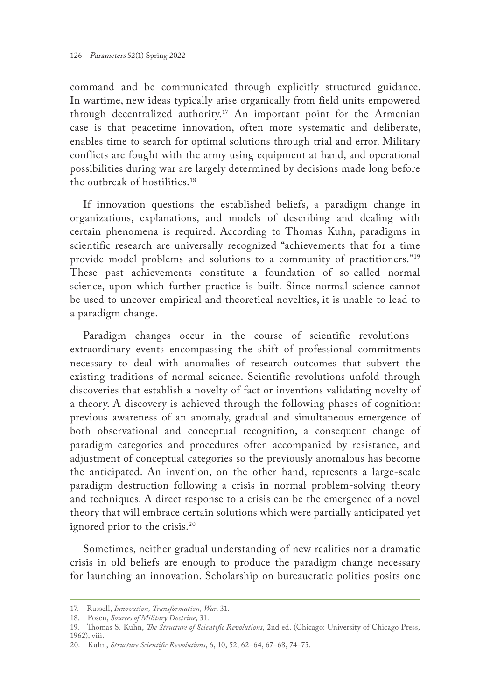command and be communicated through explicitly structured guidance. In wartime, new ideas typically arise organically from field units empowered through decentralized authority.17 An important point for the Armenian case is that peacetime innovation, often more systematic and deliberate, enables time to search for optimal solutions through trial and error. Military conflicts are fought with the army using equipment at hand, and operational possibilities during war are largely determined by decisions made long before the outbreak of hostilities.18

If innovation questions the established beliefs, a paradigm change in organizations, explanations, and models of describing and dealing with certain phenomena is required. According to Thomas Kuhn, paradigms in scientific research are universally recognized "achievements that for a time provide model problems and solutions to a community of practitioners."19 These past achievements constitute a foundation of so-called normal science, upon which further practice is built. Since normal science cannot be used to uncover empirical and theoretical novelties, it is unable to lead to a paradigm change.

Paradigm changes occur in the course of scientific revolutions extraordinary events encompassing the shift of professional commitments necessary to deal with anomalies of research outcomes that subvert the existing traditions of normal science. Scientific revolutions unfold through discoveries that establish a novelty of fact or inventions validating novelty of a theory. A discovery is achieved through the following phases of cognition: previous awareness of an anomaly, gradual and simultaneous emergence of both observational and conceptual recognition, a consequent change of paradigm categories and procedures often accompanied by resistance, and adjustment of conceptual categories so the previously anomalous has become the anticipated. An invention, on the other hand, represents a large-scale paradigm destruction following a crisis in normal problem-solving theory and techniques. A direct response to a crisis can be the emergence of a novel theory that will embrace certain solutions which were partially anticipated yet ignored prior to the crisis.<sup>20</sup>

Sometimes, neither gradual understanding of new realities nor a dramatic crisis in old beliefs are enough to produce the paradigm change necessary for launching an innovation. Scholarship on bureaucratic politics posits one

<sup>17.</sup> Russell, *Innovation, Transformation, War*, 31.

<sup>18.</sup> Posen, *Sources of Military Doctrine*, 31.

<sup>19.</sup> Thomas S. Kuhn, *The Structure of Scientific Revolutions*, 2nd ed. (Chicago: University of Chicago Press, 1962), viii.

<sup>20.</sup> Kuhn, *Structure Scientific Revolutions*, 6, 10, 52, 62–64, 67–68, 74–75.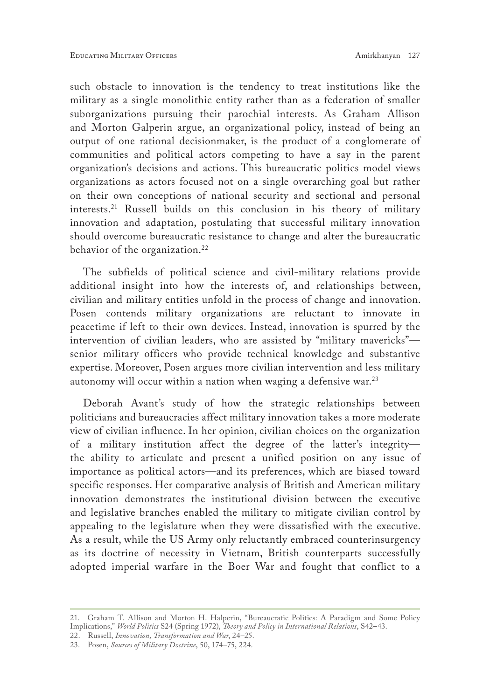such obstacle to innovation is the tendency to treat institutions like the military as a single monolithic entity rather than as a federation of smaller suborganizations pursuing their parochial interests. As Graham Allison and Morton Galperin argue, an organizational policy, instead of being an output of one rational decisionmaker, is the product of a conglomerate of communities and political actors competing to have a say in the parent organization's decisions and actions. This bureaucratic politics model views organizations as actors focused not on a single overarching goal but rather on their own conceptions of national security and sectional and personal interests.21 Russell builds on this conclusion in his theory of military innovation and adaptation, postulating that successful military innovation should overcome bureaucratic resistance to change and alter the bureaucratic behavior of the organization.<sup>22</sup>

The subfields of political science and civil-military relations provide additional insight into how the interests of, and relationships between, civilian and military entities unfold in the process of change and innovation. Posen contends military organizations are reluctant to innovate in peacetime if left to their own devices. Instead, innovation is spurred by the intervention of civilian leaders, who are assisted by "military mavericks" senior military officers who provide technical knowledge and substantive expertise. Moreover, Posen argues more civilian intervention and less military autonomy will occur within a nation when waging a defensive war. $^{23}$ 

Deborah Avant's study of how the strategic relationships between politicians and bureaucracies affect military innovation takes a more moderate view of civilian influence. In her opinion, civilian choices on the organization of a military institution affect the degree of the latter's integrity the ability to articulate and present a unified position on any issue of importance as political actors—and its preferences, which are biased toward specific responses. Her comparative analysis of British and American military innovation demonstrates the institutional division between the executive and legislative branches enabled the military to mitigate civilian control by appealing to the legislature when they were dissatisfied with the executive. As a result, while the US Army only reluctantly embraced counterinsurgency as its doctrine of necessity in Vietnam, British counterparts successfully adopted imperial warfare in the Boer War and fought that conflict to a

<sup>21.</sup> Graham T. Allison and Morton H. Halperin, "Bureaucratic Politics: A Paradigm and Some Policy Implications," *World Politics* S24 (Spring 1972), *Theory and Policy in International Relations*, S42–43.

<sup>22.</sup> Russell, *Innovation, Transformation and War*, 24–25.

<sup>23.</sup> Posen, *Sources of Military Doctrine*, 50, 174–75, 224.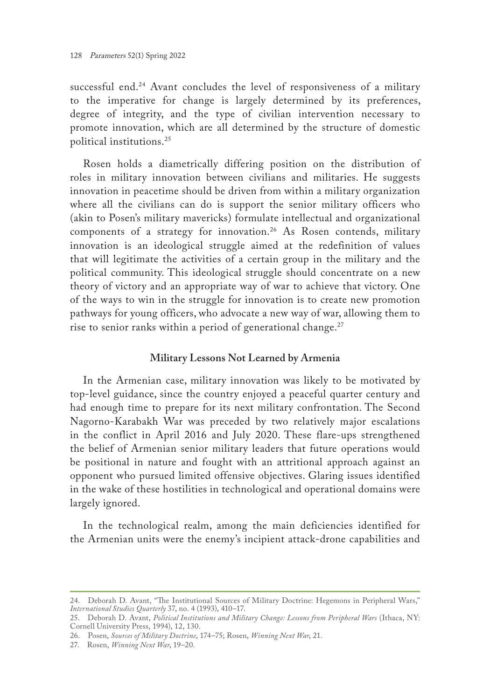successful end.<sup>24</sup> Avant concludes the level of responsiveness of a military to the imperative for change is largely determined by its preferences, degree of integrity, and the type of civilian intervention necessary to promote innovation, which are all determined by the structure of domestic political institutions.25

Rosen holds a diametrically differing position on the distribution of roles in military innovation between civilians and militaries. He suggests innovation in peacetime should be driven from within a military organization where all the civilians can do is support the senior military officers who (akin to Posen's military mavericks) formulate intellectual and organizational components of a strategy for innovation.<sup>26</sup> As Rosen contends, military innovation is an ideological struggle aimed at the redefinition of values that will legitimate the activities of a certain group in the military and the political community. This ideological struggle should concentrate on a new theory of victory and an appropriate way of war to achieve that victory. One of the ways to win in the struggle for innovation is to create new promotion pathways for young officers, who advocate a new way of war, allowing them to rise to senior ranks within a period of generational change. $27$ 

#### **Military Lessons Not Learned by Armenia**

In the Armenian case, military innovation was likely to be motivated by top-level guidance, since the country enjoyed a peaceful quarter century and had enough time to prepare for its next military confrontation. The Second Nagorno-Karabakh War was preceded by two relatively major escalations in the conflict in April 2016 and July 2020. These flare-ups strengthened the belief of Armenian senior military leaders that future operations would be positional in nature and fought with an attritional approach against an opponent who pursued limited offensive objectives. Glaring issues identified in the wake of these hostilities in technological and operational domains were largely ignored.

In the technological realm, among the main deficiencies identified for the Armenian units were the enemy's incipient attack-drone capabilities and

<sup>24.</sup> Deborah D. Avant, "The Institutional Sources of Military Doctrine: Hegemons in Peripheral Wars," *International Studies Quarterly* 37, no. 4 (1993), 410–17.

<sup>25.</sup> Deborah D. Avant, *Political Institutions and Military Change: Lessons from Peripheral Wars* (Ithaca, NY: Cornell University Press, 1994), 12, 130.

<sup>26.</sup> Posen, *Sources of Military Doctrine*, 174–75; Rosen, *Winning Next War*, 21.

<sup>27.</sup> Rosen, *Winning Next War*, 19–20.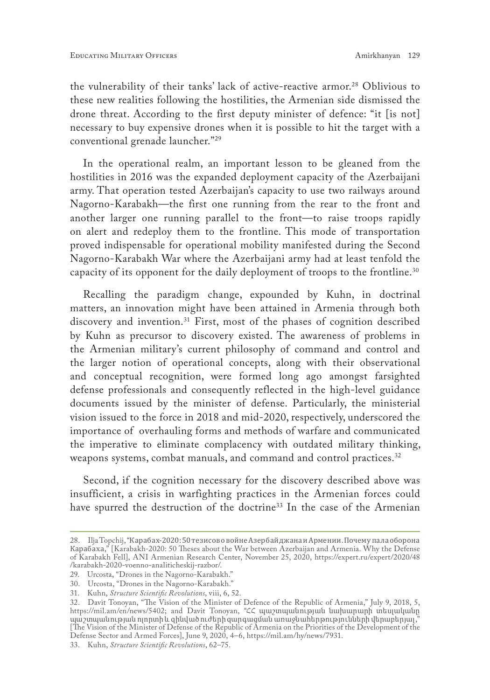the vulnerability of their tanks' lack of active-reactive armor.28 Oblivious to these new realities following the hostilities, the Armenian side dismissed the drone threat. According to the first deputy minister of defence: "it [is not] necessary to buy expensive drones when it is possible to hit the target with a conventional grenade launcher."29

In the operational realm, an important lesson to be gleaned from the hostilities in 2016 was the expanded deployment capacity of the Azerbaijani army. That operation tested Azerbaijan's capacity to use two railways around Nagorno-Karabakh—the first one running from the rear to the front and another larger one running parallel to the front—to raise troops rapidly on alert and redeploy them to the frontline. This mode of transportation proved indispensable for operational mobility manifested during the Second Nagorno-Karabakh War where the Azerbaijani army had at least tenfold the capacity of its opponent for the daily deployment of troops to the frontline.30

Recalling the paradigm change, expounded by Kuhn, in doctrinal matters, an innovation might have been attained in Armenia through both discovery and invention.<sup>31</sup> First, most of the phases of cognition described by Kuhn as precursor to discovery existed. The awareness of problems in the Armenian military's current philosophy of command and control and the larger notion of operational concepts, along with their observational and conceptual recognition, were formed long ago amongst farsighted defense professionals and consequently reflected in the high-level guidance documents issued by the minister of defense. Particularly, the ministerial vision issued to the force in 2018 and mid-2020, respectively, underscored the importance of overhauling forms and methods of warfare and communicated the imperative to eliminate complacency with outdated military thinking, weapons systems, combat manuals, and command and control practices.<sup>32</sup>

Second, if the cognition necessary for the discovery described above was insufficient, a crisis in warfighting practices in the Armenian forces could have spurred the destruction of the doctrine<sup>33</sup> In the case of the Armenian

<sup>28.</sup> Ilja Topchij, "Карабах-2020: 50 тезисововойнеАзербайджанаиАрмении. Почемупалаоборона Карабаха," [Karabakh-2020: 50 Theses about the War between Azerbaijan and Armenia. Why the Defense of Karabakh Fell], ANI Armenian Research Center, November 25, 2020, [https://expert.ru/expert/2020/48](https://expert.ru/expert/2020/48/karabakh-2020-voenno-analiticheskij-razbor/) [/karabakh-2020-voenno-analiticheskij-razbor/](https://expert.ru/expert/2020/48/karabakh-2020-voenno-analiticheskij-razbor/).

<sup>29.</sup> Urcosta, "Drones in the Nagorno-Karabakh."

<sup>30.</sup> Urcosta, "Drones in the Nagorno-Karabakh."

<sup>31.</sup> Kuhn, *Structure Scientific Revolutions*, viii, 6, 52.

<sup>32.</sup> Davit Tonoyan, "The Vision of the Minister of Defence of the Republic of Armenia," July 9, 2018, 5, <https://mil.am/en/news/5402>; and Davit Tonoyan, "ՀՀ պաշտպանության նախարարի տեսլականը պաշտպանության ոլորտի և զինված ուժերի զարգացման առաջնահերթությունների վերաբերյալ," [The Vision of the Minister of Defense of the Republic of Armenia on the Priorities of the Development of the Defense Sector and Armed Forces], June 9, 2020, 4–6, [https://mil.am/hy/news/7931.](https://mil.am/hy/news/7931)

<sup>33.</sup> Kuhn, *Structure Scientific Revolutions*, 62–75.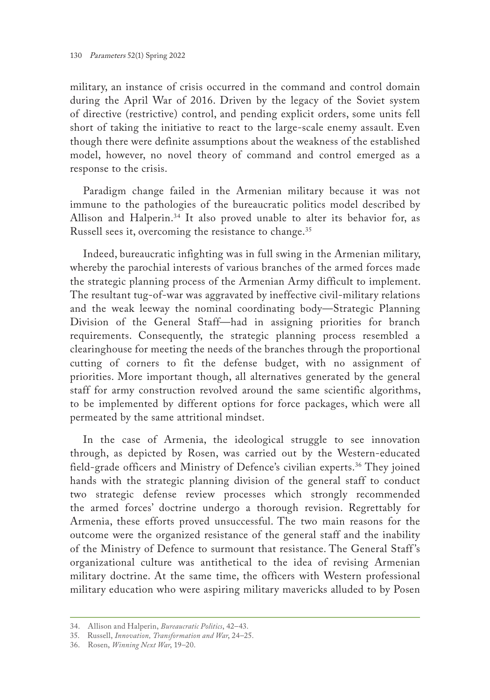military, an instance of crisis occurred in the command and control domain during the April War of 2016. Driven by the legacy of the Soviet system of directive (restrictive) control, and pending explicit orders, some units fell short of taking the initiative to react to the large-scale enemy assault. Even though there were definite assumptions about the weakness of the established model, however, no novel theory of command and control emerged as a response to the crisis.

Paradigm change failed in the Armenian military because it was not immune to the pathologies of the bureaucratic politics model described by Allison and Halperin.<sup>34</sup> It also proved unable to alter its behavior for, as Russell sees it, overcoming the resistance to change.<sup>35</sup>

Indeed, bureaucratic infighting was in full swing in the Armenian military, whereby the parochial interests of various branches of the armed forces made the strategic planning process of the Armenian Army difficult to implement. The resultant tug-of-war was aggravated by ineffective civil-military relations and the weak leeway the nominal coordinating body—Strategic Planning Division of the General Staff—had in assigning priorities for branch requirements. Consequently, the strategic planning process resembled a clearinghouse for meeting the needs of the branches through the proportional cutting of corners to fit the defense budget, with no assignment of priorities. More important though, all alternatives generated by the general staff for army construction revolved around the same scientific algorithms, to be implemented by different options for force packages, which were all permeated by the same attritional mindset.

In the case of Armenia, the ideological struggle to see innovation through, as depicted by Rosen, was carried out by the Western-educated field-grade officers and Ministry of Defence's civilian experts.<sup>36</sup> They joined hands with the strategic planning division of the general staff to conduct two strategic defense review processes which strongly recommended the armed forces' doctrine undergo a thorough revision. Regrettably for Armenia, these efforts proved unsuccessful. The two main reasons for the outcome were the organized resistance of the general staff and the inability of the Ministry of Defence to surmount that resistance. The General Staff 's organizational culture was antithetical to the idea of revising Armenian military doctrine. At the same time, the officers with Western professional military education who were aspiring military mavericks alluded to by Posen

<sup>34.</sup> Allison and Halperin, *Bureaucratic Politics*, 42–43.

<sup>35.</sup> Russell, *Innovation, Transformation and War*, 24–25.

<sup>36.</sup> Rosen, *Winning Next War*, 19–20.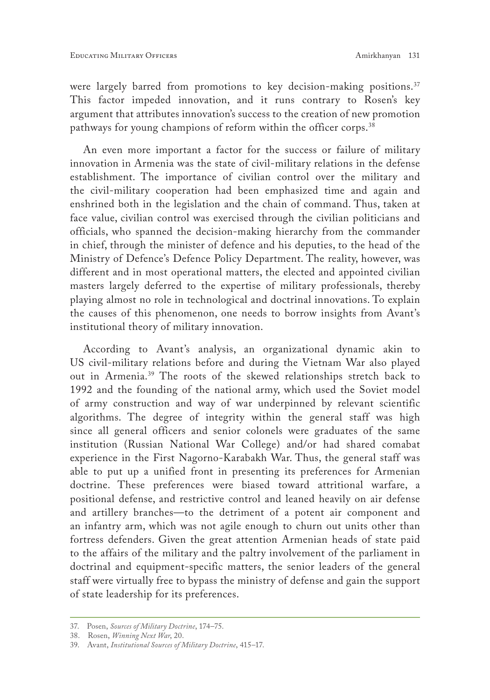were largely barred from promotions to key decision-making positions.<sup>37</sup> This factor impeded innovation, and it runs contrary to Rosen's key argument that attributes innovation's success to the creation of new promotion pathways for young champions of reform within the officer corps.<sup>38</sup>

An even more important a factor for the success or failure of military innovation in Armenia was the state of civil-military relations in the defense establishment. The importance of civilian control over the military and the civil-military cooperation had been emphasized time and again and enshrined both in the legislation and the chain of command. Thus, taken at face value, civilian control was exercised through the civilian politicians and officials, who spanned the decision-making hierarchy from the commander in chief, through the minister of defence and his deputies, to the head of the Ministry of Defence's Defence Policy Department. The reality, however, was different and in most operational matters, the elected and appointed civilian masters largely deferred to the expertise of military professionals, thereby playing almost no role in technological and doctrinal innovations. To explain the causes of this phenomenon, one needs to borrow insights from Avant's institutional theory of military innovation.

According to Avant's analysis, an organizational dynamic akin to US civil-military relations before and during the Vietnam War also played out in Armenia.39 The roots of the skewed relationships stretch back to 1992 and the founding of the national army, which used the Soviet model of army construction and way of war underpinned by relevant scientific algorithms. The degree of integrity within the general staff was high since all general officers and senior colonels were graduates of the same institution (Russian National War College) and/or had shared comabat experience in the First Nagorno-Karabakh War. Thus, the general staff was able to put up a unified front in presenting its preferences for Armenian doctrine. These preferences were biased toward attritional warfare, a positional defense, and restrictive control and leaned heavily on air defense and artillery branches—to the detriment of a potent air component and an infantry arm, which was not agile enough to churn out units other than fortress defenders. Given the great attention Armenian heads of state paid to the affairs of the military and the paltry involvement of the parliament in doctrinal and equipment-specific matters, the senior leaders of the general staff were virtually free to bypass the ministry of defense and gain the support of state leadership for its preferences.

<sup>37.</sup> Posen, *Sources of Military Doctrine*, 174–75.

<sup>38.</sup> Rosen, *Winning Next War*, 20.

<sup>39.</sup> Avant, *Institutional Sources of Military Doctrine*, 415–17.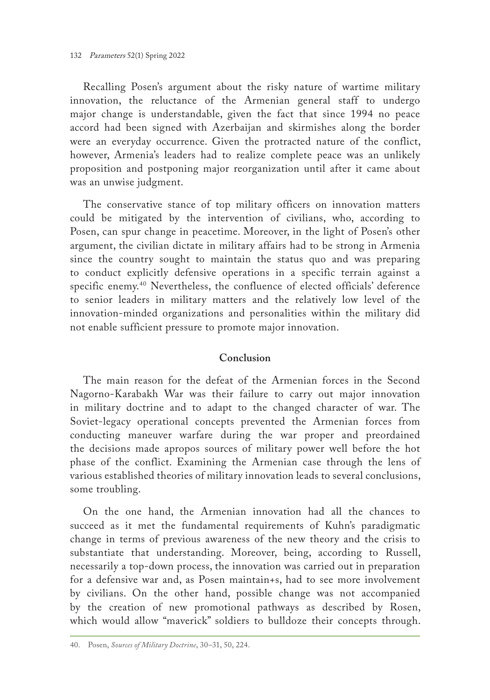Recalling Posen's argument about the risky nature of wartime military innovation, the reluctance of the Armenian general staff to undergo major change is understandable, given the fact that since 1994 no peace accord had been signed with Azerbaijan and skirmishes along the border were an everyday occurrence. Given the protracted nature of the conflict, however, Armenia's leaders had to realize complete peace was an unlikely proposition and postponing major reorganization until after it came about was an unwise judgment.

The conservative stance of top military officers on innovation matters could be mitigated by the intervention of civilians, who, according to Posen, can spur change in peacetime. Moreover, in the light of Posen's other argument, the civilian dictate in military affairs had to be strong in Armenia since the country sought to maintain the status quo and was preparing to conduct explicitly defensive operations in a specific terrain against a specific enemy.40 Nevertheless, the confluence of elected officials' deference to senior leaders in military matters and the relatively low level of the innovation-minded organizations and personalities within the military did not enable sufficient pressure to promote major innovation.

### **Conclusion**

The main reason for the defeat of the Armenian forces in the Second Nagorno-Karabakh War was their failure to carry out major innovation in military doctrine and to adapt to the changed character of war. The Soviet-legacy operational concepts prevented the Armenian forces from conducting maneuver warfare during the war proper and preordained the decisions made apropos sources of military power well before the hot phase of the conflict. Examining the Armenian case through the lens of various established theories of military innovation leads to several conclusions, some troubling.

On the one hand, the Armenian innovation had all the chances to succeed as it met the fundamental requirements of Kuhn's paradigmatic change in terms of previous awareness of the new theory and the crisis to substantiate that understanding. Moreover, being, according to Russell, necessarily a top-down process, the innovation was carried out in preparation for a defensive war and, as Posen maintain+s, had to see more involvement by civilians. On the other hand, possible change was not accompanied by the creation of new promotional pathways as described by Rosen, which would allow "maverick" soldiers to bulldoze their concepts through.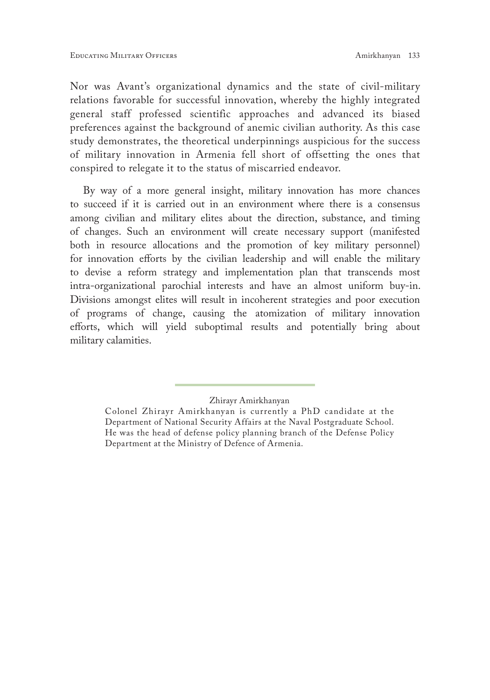Nor was Avant's organizational dynamics and the state of civil-military relations favorable for successful innovation, whereby the highly integrated general staff professed scientific approaches and advanced its biased preferences against the background of anemic civilian authority. As this case study demonstrates, the theoretical underpinnings auspicious for the success of military innovation in Armenia fell short of offsetting the ones that conspired to relegate it to the status of miscarried endeavor.

By way of a more general insight, military innovation has more chances to succeed if it is carried out in an environment where there is a consensus among civilian and military elites about the direction, substance, and timing of changes. Such an environment will create necessary support (manifested both in resource allocations and the promotion of key military personnel) for innovation efforts by the civilian leadership and will enable the military to devise a reform strategy and implementation plan that transcends most intra-organizational parochial interests and have an almost uniform buy-in. Divisions amongst elites will result in incoherent strategies and poor execution of programs of change, causing the atomization of military innovation efforts, which will yield suboptimal results and potentially bring about military calamities.

Zhirayr Amirkhanyan

Colonel Zhirayr Amirkhanyan is currently a PhD candidate at the Department of National Security Affairs at the Naval Postgraduate School. He was the head of defense policy planning branch of the Defense Policy Department at the Ministry of Defence of Armenia.